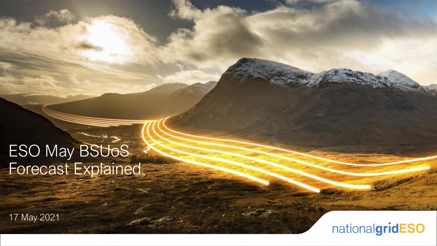# **ESO May BSUOS** Forecast Explained

17 May 2021